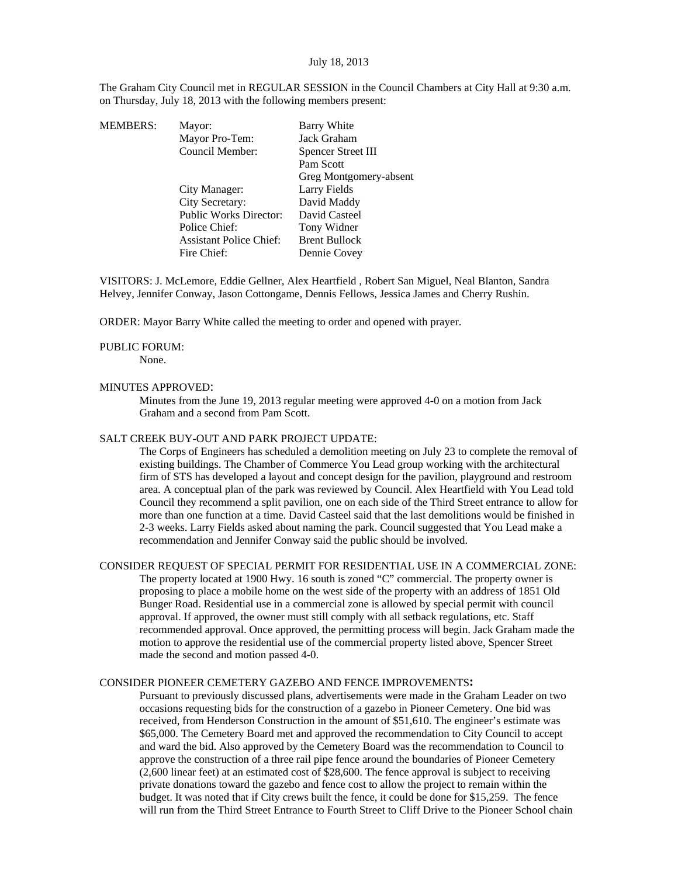The Graham City Council met in REGULAR SESSION in the Council Chambers at City Hall at 9:30 a.m. on Thursday, July 18, 2013 with the following members present:

| <b>MEMBERS:</b> | Mayor:                         | Barry White            |
|-----------------|--------------------------------|------------------------|
|                 | Mayor Pro-Tem:                 | Jack Graham            |
|                 | Council Member:                | Spencer Street III     |
|                 |                                | Pam Scott              |
|                 |                                | Greg Montgomery-absent |
|                 | City Manager:                  | Larry Fields           |
|                 | City Secretary:                | David Maddy            |
|                 | <b>Public Works Director:</b>  | David Casteel          |
|                 | Police Chief:                  | Tony Widner            |
|                 | <b>Assistant Police Chief:</b> | <b>Brent Bullock</b>   |
|                 | Fire Chief:                    | Dennie Covey           |
|                 |                                |                        |

VISITORS: J. McLemore, Eddie Gellner, Alex Heartfield , Robert San Miguel, Neal Blanton, Sandra Helvey, Jennifer Conway, Jason Cottongame, Dennis Fellows, Jessica James and Cherry Rushin.

ORDER: Mayor Barry White called the meeting to order and opened with prayer.

#### PUBLIC FORUM:

None.

#### MINUTES APPROVED:

Minutes from the June 19, 2013 regular meeting were approved 4-0 on a motion from Jack Graham and a second from Pam Scott.

#### SALT CREEK BUY-OUT AND PARK PROJECT UPDATE:

The Corps of Engineers has scheduled a demolition meeting on July 23 to complete the removal of existing buildings. The Chamber of Commerce You Lead group working with the architectural firm of STS has developed a layout and concept design for the pavilion, playground and restroom area. A conceptual plan of the park was reviewed by Council. Alex Heartfield with You Lead told Council they recommend a split pavilion, one on each side of the Third Street entrance to allow for more than one function at a time. David Casteel said that the last demolitions would be finished in 2-3 weeks. Larry Fields asked about naming the park. Council suggested that You Lead make a recommendation and Jennifer Conway said the public should be involved.

CONSIDER REQUEST OF SPECIAL PERMIT FOR RESIDENTIAL USE IN A COMMERCIAL ZONE: The property located at 1900 Hwy. 16 south is zoned "C" commercial. The property owner is proposing to place a mobile home on the west side of the property with an address of 1851 Old Bunger Road. Residential use in a commercial zone is allowed by special permit with council approval. If approved, the owner must still comply with all setback regulations, etc. Staff recommended approval. Once approved, the permitting process will begin. Jack Graham made the motion to approve the residential use of the commercial property listed above, Spencer Street made the second and motion passed 4-0.

## CONSIDER PIONEER CEMETERY GAZEBO AND FENCE IMPROVEMENTS**:**

Pursuant to previously discussed plans, advertisements were made in the Graham Leader on two occasions requesting bids for the construction of a gazebo in Pioneer Cemetery. One bid was received, from Henderson Construction in the amount of \$51,610. The engineer's estimate was \$65,000. The Cemetery Board met and approved the recommendation to City Council to accept and ward the bid. Also approved by the Cemetery Board was the recommendation to Council to approve the construction of a three rail pipe fence around the boundaries of Pioneer Cemetery (2,600 linear feet) at an estimated cost of \$28,600. The fence approval is subject to receiving private donations toward the gazebo and fence cost to allow the project to remain within the budget. It was noted that if City crews built the fence, it could be done for \$15,259. The fence will run from the Third Street Entrance to Fourth Street to Cliff Drive to the Pioneer School chain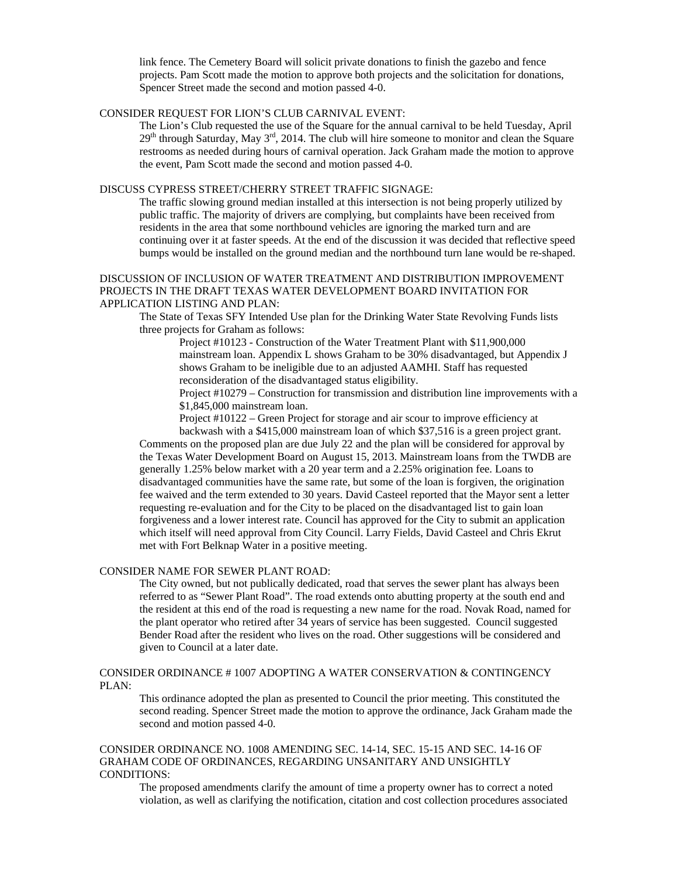link fence. The Cemetery Board will solicit private donations to finish the gazebo and fence projects. Pam Scott made the motion to approve both projects and the solicitation for donations, Spencer Street made the second and motion passed 4-0.

# CONSIDER REQUEST FOR LION'S CLUB CARNIVAL EVENT:

The Lion's Club requested the use of the Square for the annual carnival to be held Tuesday, April  $29<sup>th</sup>$  through Saturday, May  $3<sup>rd</sup>$ , 2014. The club will hire someone to monitor and clean the Square restrooms as needed during hours of carnival operation. Jack Graham made the motion to approve the event, Pam Scott made the second and motion passed 4-0.

# DISCUSS CYPRESS STREET/CHERRY STREET TRAFFIC SIGNAGE:

The traffic slowing ground median installed at this intersection is not being properly utilized by public traffic. The majority of drivers are complying, but complaints have been received from residents in the area that some northbound vehicles are ignoring the marked turn and are continuing over it at faster speeds. At the end of the discussion it was decided that reflective speed bumps would be installed on the ground median and the northbound turn lane would be re-shaped.

# DISCUSSION OF INCLUSION OF WATER TREATMENT AND DISTRIBUTION IMPROVEMENT PROJECTS IN THE DRAFT TEXAS WATER DEVELOPMENT BOARD INVITATION FOR APPLICATION LISTING AND PLAN:

The State of Texas SFY Intended Use plan for the Drinking Water State Revolving Funds lists three projects for Graham as follows:

Project #10123 - Construction of the Water Treatment Plant with \$11,900,000 mainstream loan. Appendix L shows Graham to be 30% disadvantaged, but Appendix J shows Graham to be ineligible due to an adjusted AAMHI. Staff has requested reconsideration of the disadvantaged status eligibility.

Project #10279 – Construction for transmission and distribution line improvements with a \$1,845,000 mainstream loan.

Project #10122 – Green Project for storage and air scour to improve efficiency at backwash with a \$415,000 mainstream loan of which \$37,516 is a green project grant.

Comments on the proposed plan are due July 22 and the plan will be considered for approval by the Texas Water Development Board on August 15, 2013. Mainstream loans from the TWDB are generally 1.25% below market with a 20 year term and a 2.25% origination fee. Loans to disadvantaged communities have the same rate, but some of the loan is forgiven, the origination fee waived and the term extended to 30 years. David Casteel reported that the Mayor sent a letter requesting re-evaluation and for the City to be placed on the disadvantaged list to gain loan forgiveness and a lower interest rate. Council has approved for the City to submit an application which itself will need approval from City Council. Larry Fields, David Casteel and Chris Ekrut met with Fort Belknap Water in a positive meeting.

## CONSIDER NAME FOR SEWER PLANT ROAD:

The City owned, but not publically dedicated, road that serves the sewer plant has always been referred to as "Sewer Plant Road". The road extends onto abutting property at the south end and the resident at this end of the road is requesting a new name for the road. Novak Road, named for the plant operator who retired after 34 years of service has been suggested. Council suggested Bender Road after the resident who lives on the road. Other suggestions will be considered and given to Council at a later date.

## CONSIDER ORDINANCE # 1007 ADOPTING A WATER CONSERVATION & CONTINGENCY PLAN:

This ordinance adopted the plan as presented to Council the prior meeting. This constituted the second reading. Spencer Street made the motion to approve the ordinance, Jack Graham made the second and motion passed 4-0.

CONSIDER ORDINANCE NO. 1008 AMENDING SEC. 14-14, SEC. 15-15 AND SEC. 14-16 OF GRAHAM CODE OF ORDINANCES, REGARDING UNSANITARY AND UNSIGHTLY CONDITIONS:

The proposed amendments clarify the amount of time a property owner has to correct a noted violation, as well as clarifying the notification, citation and cost collection procedures associated